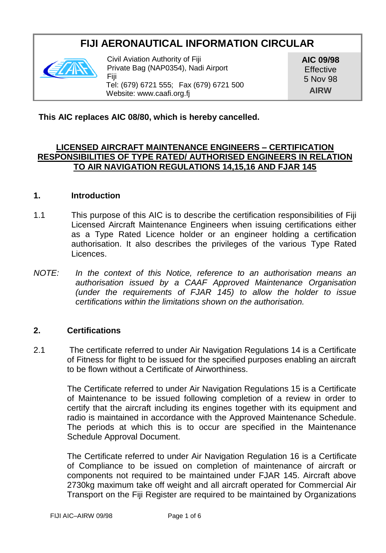# **FIJI AERONAUTICAL INFORMATION CIRCULAR**



Civil Aviation Authority of Fiji Private Bag (NAP0354), Nadi Airport Fiji Tel: (679) 6721 555; Fax (679) 6721 500 Website: www.caafi.org.fj

**AIC 09/98 Effective** 5 Nov 98 **AIRW**

**This AIC replaces AIC 08/80, which is hereby cancelled.**

### **LICENSED AIRCRAFT MAINTENANCE ENGINEERS – CERTIFICATION RESPONSIBILITIES OF TYPE RATED/ AUTHORISED ENGINEERS IN RELATION TO AIR NAVIGATION REGULATIONS 14,15,16 AND FJAR 145**

#### **1. Introduction**

- 1.1 This purpose of this AIC is to describe the certification responsibilities of Fiji Licensed Aircraft Maintenance Engineers when issuing certifications either as a Type Rated Licence holder or an engineer holding a certification authorisation. It also describes the privileges of the various Type Rated Licences.
- *NOTE: In the context of this Notice, reference to an authorisation means an authorisation issued by a CAAF Approved Maintenance Organisation (under the requirements of FJAR 145) to allow the holder to issue certifications within the limitations shown on the authorisation.*

### **2. Certifications**

2.1 The certificate referred to under Air Navigation Regulations 14 is a Certificate of Fitness for flight to be issued for the specified purposes enabling an aircraft to be flown without a Certificate of Airworthiness.

> The Certificate referred to under Air Navigation Regulations 15 is a Certificate of Maintenance to be issued following completion of a review in order to certify that the aircraft including its engines together with its equipment and radio is maintained in accordance with the Approved Maintenance Schedule. The periods at which this is to occur are specified in the Maintenance Schedule Approval Document.

> The Certificate referred to under Air Navigation Regulation 16 is a Certificate of Compliance to be issued on completion of maintenance of aircraft or components not required to be maintained under FJAR 145. Aircraft above 2730kg maximum take off weight and all aircraft operated for Commercial Air Transport on the Fiji Register are required to be maintained by Organizations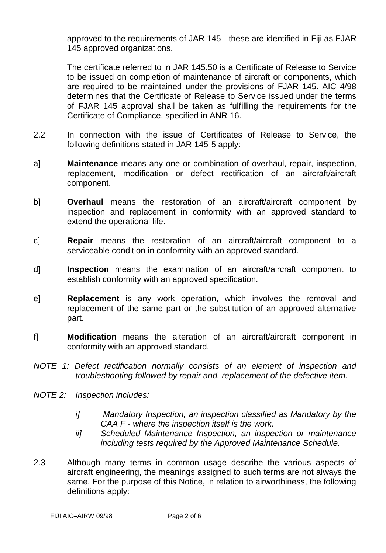approved to the requirements of JAR 145 - these are identified in Fiji as FJAR 145 approved organizations.

The certificate referred to in JAR 145.50 is a Certificate of Release to Service to be issued on completion of maintenance of aircraft or components, which are required to be maintained under the provisions of FJAR 145. AIC 4/98 determines that the Certificate of Release to Service issued under the terms of FJAR 145 approval shall be taken as fulfilling the requirements for the Certificate of Compliance, specified in ANR 16.

- 2.2 In connection with the issue of Certificates of Release to Service, the following definitions stated in JAR 145-5 apply:
- a] **Maintenance** means any one or combination of overhaul, repair, inspection, replacement, modification or defect rectification of an aircraft/aircraft component.
- b] **Overhaul** means the restoration of an aircraft/aircraft component by inspection and replacement in conformity with an approved standard to extend the operational life.
- c] **Repair** means the restoration of an aircraft/aircraft component to a serviceable condition in conformity with an approved standard.
- d] **Inspection** means the examination of an aircraft/aircraft component to establish conformity with an approved specification.
- e] **Replacement** is any work operation, which involves the removal and replacement of the same part or the substitution of an approved alternative part.
- f] **Modification** means the alteration of an aircraft/aircraft component in conformity with an approved standard.
- *NOTE 1: Defect rectification normally consists of an element of inspection and troubleshooting followed by repair and. replacement of the defective item.*
- *NOTE 2: Inspection includes:*
	- *i] Mandatory Inspection, an inspection classified as Mandatory by the CAA F - where the inspection itself is the work.*
	- *ii] Scheduled Maintenance Inspection, an inspection or maintenance including tests required by the Approved Maintenance Schedule.*
- 2.3 Although many terms in common usage describe the various aspects of aircraft engineering, the meanings assigned to such terms are not always the same. For the purpose of this Notice, in relation to airworthiness, the following definitions apply: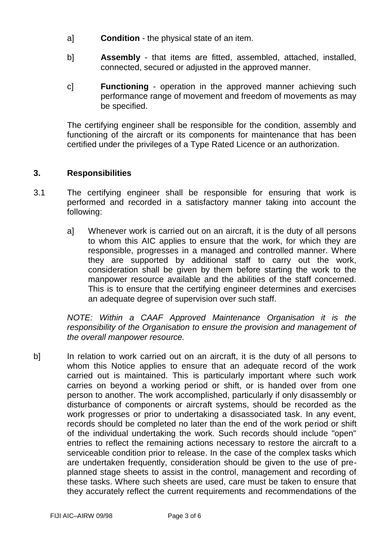- a] **Condition** the physical state of an item.
- b] **Assembly** that items are fitted, assembled, attached, installed, connected, secured or adjusted in the approved manner.
- c] **Functioning** operation in the approved manner achieving such performance range of movement and freedom of movements as may be specified.

The certifying engineer shall be responsible for the condition, assembly and functioning of the aircraft or its components for maintenance that has been certified under the privileges of a Type Rated Licence or an authorization.

# **3. Responsibilities**

- 3.1 The certifying engineer shall be responsible for ensuring that work is performed and recorded in a satisfactory manner taking into account the following:
	- a] Whenever work is carried out on an aircraft, it is the duty of all persons to whom this AIC applies to ensure that the work, for which they are responsible, progresses in a managed and controlled manner. Where they are supported by additional staff to carry out the work, consideration shall be given by them before starting the work to the manpower resource available and the abilities of the staff concerned. This is to ensure that the certifying engineer determines and exercises an adequate degree of supervision over such staff.

*NOTE: Within a CAAF Approved Maintenance Organisation it is the responsibility of the Organisation to ensure the provision and management of the overall manpower resource.*

b] In relation to work carried out on an aircraft, it is the duty of all persons to whom this Notice applies to ensure that an adequate record of the work carried out is maintained. This is particularly important where such work carries on beyond a working period or shift, or is handed over from one person to another. The work accomplished, particularly if only disassembly or disturbance of components or aircraft systems, should be recorded as the work progresses or prior to undertaking a disassociated task. In any event, records should be completed no later than the end of the work period or shift of the individual undertaking the work. Such records should include "open" entries to reflect the remaining actions necessary to restore the aircraft to a serviceable condition prior to release. In the case of the complex tasks which are undertaken frequently, consideration should be given to the use of preplanned stage sheets to assist in the control, management and recording of these tasks. Where such sheets are used, care must be taken to ensure that they accurately reflect the current requirements and recommendations of the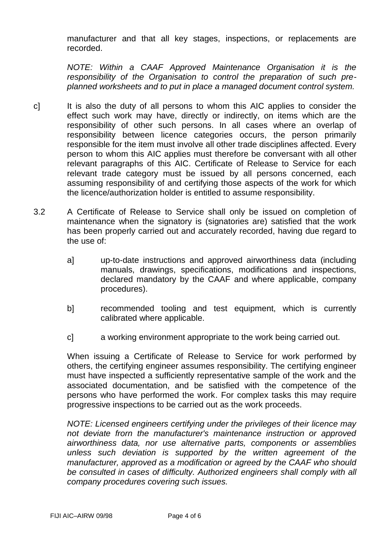manufacturer and that all key stages, inspections, or replacements are recorded.

*NOTE: Within a CAAF Approved Maintenance Organisation it is the responsibility of the Organisation to control the preparation of such preplanned worksheets and to put in place a managed document control system.*

- c] It is also the duty of all persons to whom this AIC applies to consider the effect such work may have, directly or indirectly, on items which are the responsibility of other such persons. In all cases where an overlap of responsibility between licence categories occurs, the person primarily responsible for the item must involve all other trade disciplines affected. Every person to whom this AIC applies must therefore be conversant with all other relevant paragraphs of this AIC. Certificate of Release to Service for each relevant trade category must be issued by all persons concerned, each assuming responsibility of and certifying those aspects of the work for which the licence/authorization holder is entitled to assume responsibility.
- 3.2 A Certificate of Release to Service shall only be issued on completion of maintenance when the signatory is (signatories are) satisfied that the work has been properly carried out and accurately recorded, having due regard to the use of:
	- a] up-to-date instructions and approved airworthiness data (including manuals, drawings, specifications, modifications and inspections, declared mandatory by the CAAF and where applicable, company procedures).
	- b] recommended tooling and test equipment, which is currently calibrated where applicable.
	- c] a working environment appropriate to the work being carried out.

When issuing a Certificate of Release to Service for work performed by others, the certifying engineer assumes responsibility. The certifying engineer must have inspected a sufficiently representative sample of the work and the associated documentation, and be satisfied with the competence of the persons who have performed the work. For complex tasks this may require progressive inspections to be carried out as the work proceeds.

*NOTE: Licensed engineers certifying under the privileges of their licence may not deviate frorn the manufacturer's maintenance instruction or approved airworthiness data, nor use alternative parts, components or assemblies unless such deviation is supported by the written agreement of the manufacturer, approved as a modification or agreed by the CAAF who should*  be consulted in cases of difficulty. Authorized engineers shall comply with all *company procedures covering such issues.*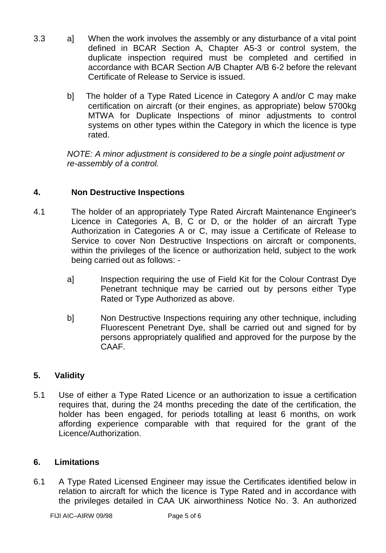- 3.3 a] When the work involves the assembly or any disturbance of a vital point defined in BCAR Section A, Chapter A5-3 or control system, the duplicate inspection required must be completed and certified in accordance with BCAR Section A/B Chapter A/B 6-2 before the relevant Certificate of Release to Service is issued.
	- b] The holder of a Type Rated Licence in Category A and/or C may make certification on aircraft (or their engines, as appropriate) below 5700kg MTWA for Duplicate Inspections of minor adjustments to control systems on other types within the Category in which the licence is type rated.

*NOTE: A minor adjustment is considered to be a single point adjustment or re-assembly of a control.*

# **4. Non Destructive Inspections**

- 4.1 The holder of an appropriately Type Rated Aircraft Maintenance Engineer's Licence in Categories A, B, C or D, or the holder of an aircraft Type Authorization in Categories A or C, may issue a Certificate of Release to Service to cover Non Destructive Inspections on aircraft or components, within the privileges of the licence or authorization held, subject to the work being carried out as follows:
	- a] Inspection requiring the use of Field Kit for the Colour Contrast Dye Penetrant technique may be carried out by persons either Type Rated or Type Authorized as above.
	- b] Non Destructive Inspections requiring any other technique, including Fluorescent Penetrant Dye, shall be carried out and signed for by persons appropriately qualified and approved for the purpose by the CAAF.

# **5. Validity**

5.1 Use of either a Type Rated Licence or an authorization to issue a certification requires that, during the 24 months preceding the date of the certification, the holder has been engaged, for periods totalling at least 6 months, on work affording experience comparable with that required for the grant of the Licence/Authorization.

### **6. Limitations**

6.1 A Type Rated Licensed Engineer may issue the Certificates identified below in relation to aircraft for which the licence is Type Rated and in accordance with the privileges detailed in CAA UK airworthiness Notice No. 3. An authorized